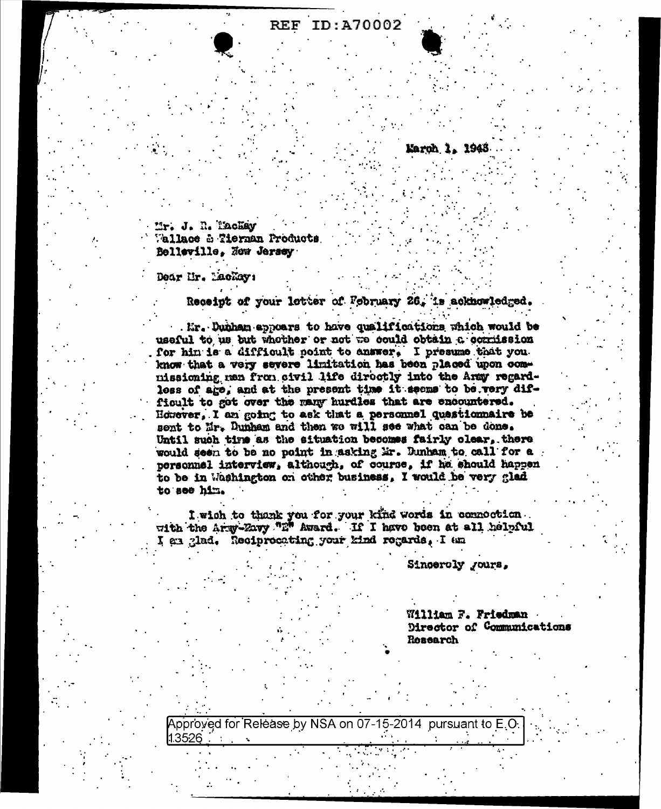## ID:A70002 **REF**

Mr. J. R. Tachay Vallace & Tierman Products Belleville, How Jersey

Dear Ur. Lachay:

Receipt of your letter of February 26, is acknowledged.

. Mr. Dunham appears to have qualifications which would be useful to us but whother or not we could obtain a commission for hin is a difficult point to answer. I presume that you. know that a very severe limitation has been placed upon commissioning men from civil life directly into the Army regardloss of age, and at the present time it seems to be very difficult to got over the many hurdles that are encountered. However, I am going to ask that a personnel questionnaire be sent to Mr. Dunham and then we will see what can be done. Until such time as the situation becomes fairly clear. there would seen to be no point in asking Mr. Dunham to call for a personnel interview, although, of course, if he should happen to be in Washington on other business, I would be very glad to see him.

I wish to thank you for your kind words in commoction. with the Army-Zavy "E" Award. If I have been at all helpful I en glad. Reciprocating your kind regards, I am

Sincercly *Jours*.

Karoh 1, 1948

William F. Friedman Director of Communications Research

Approved for Release by NSA on 07-15-2014 pursuant to E.C 1.3526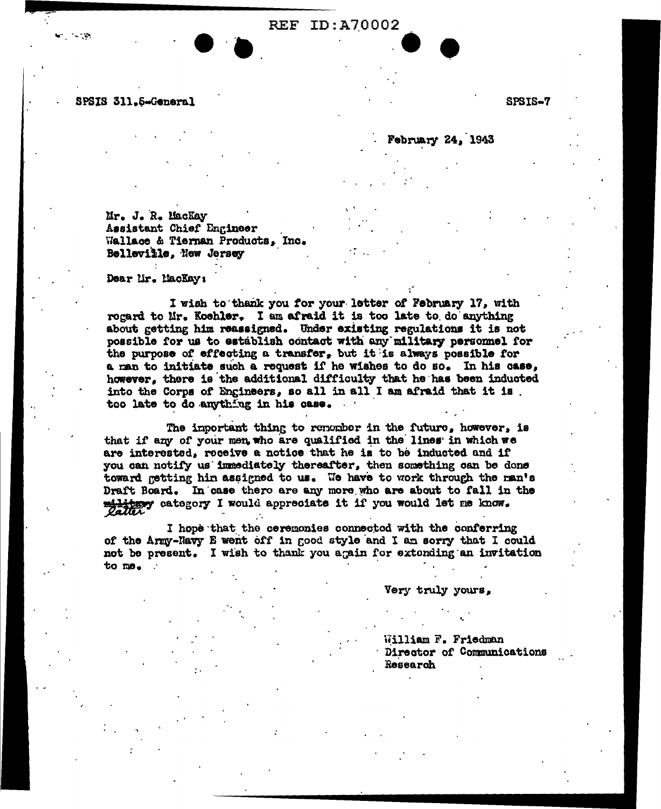## **REF ID: A70002**

SPSIS 311.5-General

 $\sim 100$ 

SPSIS-7

February 24, 1943

Mr. J. R. MacKay Assistant Chief Engineer Wallace & Tiernan Products, Inc. Belleville, New Jersey

Dear Mr. MacKay:

I wish to thank you for your letter of February 17, with rogard to Mr. Koehler. I am afraid it is too late to do anything about getting him reassigned. Under existing regulations it is not possible for us to establish contact with any military personnel for the purpose of effecting a transfer, but it is always possible for a man to initiate such a request if he wishes to do so. In his case, however, there is the additional difficulty that he has been inducted into the Corps of Engineers, so all in all I am afraid that it is. too late to do anything in his case.

The important thing to renomber in the future, however, is that if any of your men, who are qualified in the lines in which we are interested, receive a notice that he is to be inducted and if you can notify us immediately thereafter, then something can be done toward getting him assigned to us. We have to work through the man's Draft Board. In case there are any more who are about to fall in the military category I would appreciate it if you would let me know.

I hope that the ceremonies connectod with the conferring of the Army-Havy E went off in good style and I am sorry that I could not be present. I wish to thank you again for extending an invitation to me.

Very truly yours,

William F. Friedman Director of Communications Research